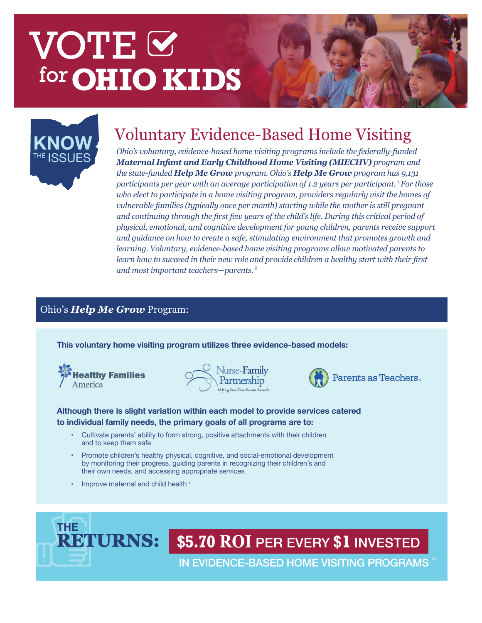# VOTE<sup>I</sup> for **OHIO KIDS**



# Voluntary Evidence-Based Home Visiting **KNOW**

*Ohio's voluntary, evidence-based home visiting programs include the federally-funded Maternal Infant and Early Childhood Home Visiting (MIECHV) program and the state-funded Help Me Grow program. Ohio's Help Me Grow program has 9,131 participants per year with an average participation of 1.2 years per participant.* <sup>i</sup>  *For those who elect to participate in a home visiting program, providers regularly visit the homes of vulnerable families (typically once per month) starting while the mother is still pregnant and continuing through the first few years of the child's life. During this critical period of physical, emotional, and cognitive development for young children, parents receive support and guidance on how to create a safe, stimulating environment that promotes growth and learning. Voluntary, evidence-based home visiting programs allow motivated parents to learn how to succeed in their new role and provide children a healthy start with their first and most important teachers—parents.* ii

### Ohio's *Help Me Grow* Program:

**This voluntary home visiting program utilizes three evidence-based models:** 



|  | urse-Family                         |  |
|--|-------------------------------------|--|
|  | Partnership                         |  |
|  | Helping First-Time Parents Succeed® |  |



Parents as Teachers.

#### **Although there is slight variation within each model to provide services catered to individual family needs, the primary goals of all programs are to:**

- Cultivate parents' ability to form strong, positive attachments with their children and to keep them safe
- Promote children's healthy physical, cognitive, and social-emotional development by monitoring their progress, guiding parents in recognizing their children's and their own needs, and accessing appropriate services
- Improve maternal and child health iii



## **\$5.70 ROI** PER EVERY **\$1** INVESTED

IN EVIDENCE-BASED HOME VISITING PROGRAMS "